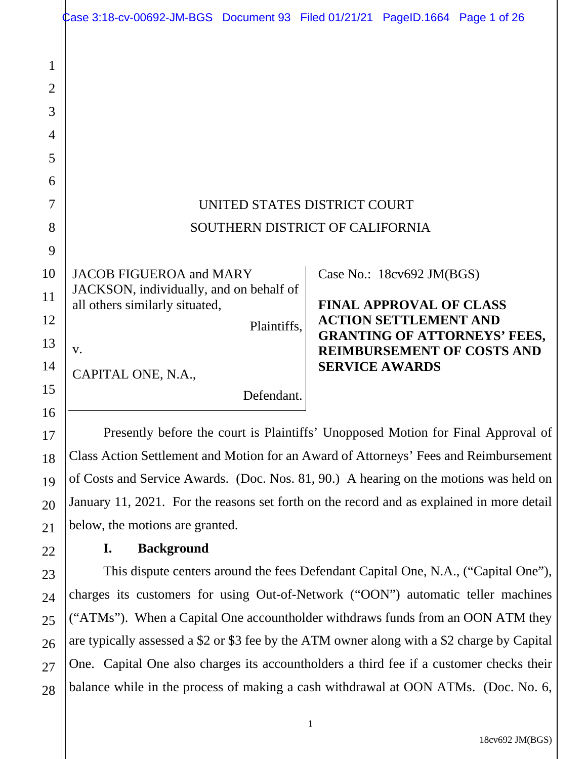|                                         | Case 3:18-cv-00692-JM-BGS Document 93 Filed 01/21/21 PageID.1664 Page 1 of 26             |  |  |                                |                                     |  |
|-----------------------------------------|-------------------------------------------------------------------------------------------|--|--|--------------------------------|-------------------------------------|--|
| 1<br>$\overline{2}$<br>3<br>4<br>5<br>6 |                                                                                           |  |  |                                |                                     |  |
| 7                                       | UNITED STATES DISTRICT COURT                                                              |  |  |                                |                                     |  |
| 8                                       | SOUTHERN DISTRICT OF CALIFORNIA                                                           |  |  |                                |                                     |  |
| 9                                       |                                                                                           |  |  |                                |                                     |  |
| 10                                      | <b>JACOB FIGUEROA and MARY</b>                                                            |  |  | Case No.: 18cv692 JM(BGS)      |                                     |  |
| 11                                      | JACKSON, individually, and on behalf of<br>all others similarly situated,                 |  |  | <b>FINAL APPROVAL OF CLASS</b> |                                     |  |
| 12                                      | Plaintiffs,                                                                               |  |  | <b>ACTION SETTLEMENT AND</b>   | <b>GRANTING OF ATTORNEYS' FEES,</b> |  |
| 13                                      | V.                                                                                        |  |  |                                | <b>REIMBURSEMENT OF COSTS AND</b>   |  |
| 14                                      | CAPITAL ONE, N.A.,                                                                        |  |  | <b>SERVICE AWARDS</b>          |                                     |  |
| 15<br>16                                | Defendant.                                                                                |  |  |                                |                                     |  |
| 17                                      | Presently before the court is Plaintiffs' Unopposed Motion for Final Approval of          |  |  |                                |                                     |  |
| 18                                      | Class Action Settlement and Motion for an Award of Attorneys' Fees and Reimbursement      |  |  |                                |                                     |  |
| 19                                      | of Costs and Service Awards. (Doc. Nos. 81, 90.) A hearing on the motions was held on     |  |  |                                |                                     |  |
| 20                                      | January 11, 2021. For the reasons set forth on the record and as explained in more detail |  |  |                                |                                     |  |
| 21                                      | below, the motions are granted.                                                           |  |  |                                |                                     |  |
| 22                                      | <b>Background</b><br>I.                                                                   |  |  |                                |                                     |  |
| 23                                      | This dispute centers around the fees Defendant Capital One, N.A., ("Capital One"),        |  |  |                                |                                     |  |

24 25 26 27 28 charges its customers for using Out-of-Network ("OON") automatic teller machines ("ATMs"). When a Capital One accountholder withdraws funds from an OON ATM they are typically assessed a \$2 or \$3 fee by the ATM owner along with a \$2 charge by Capital One. Capital One also charges its accountholders a third fee if a customer checks their balance while in the process of making a cash withdrawal at OON ATMs. (Doc. No. 6,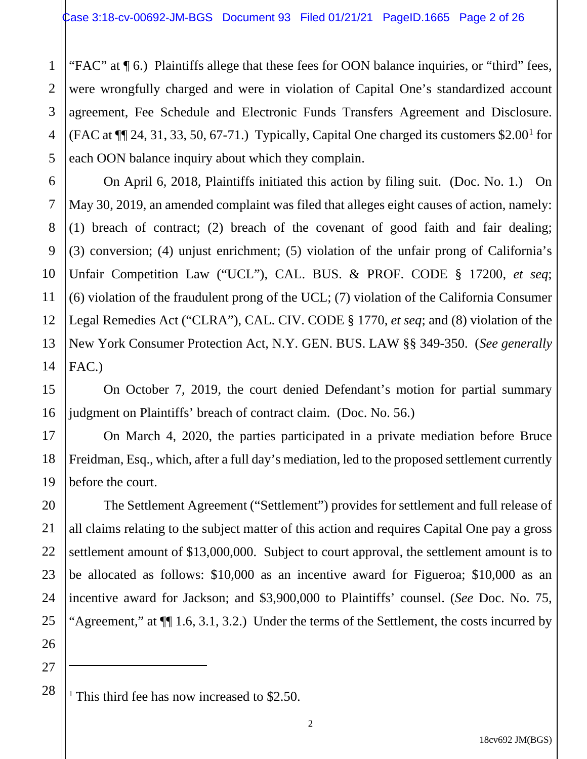"FAC" at ¶ 6.) Plaintiffs allege that these fees for OON balance inquiries, or "third" fees, were wrongfully charged and were in violation of Capital One's standardized account agreement, Fee Schedule and Electronic Funds Transfers Agreement and Disclosure. (FAC at  $\P$ [24, 31, 33, 50, 67-71.) Typically, Capital One charged its customers \$2.00<sup>1</sup> for each OON balance inquiry about which they complain.

On April 6, 2018, Plaintiffs initiated this action by filing suit. (Doc. No. 1.) On May 30, 2019, an amended complaint was filed that alleges eight causes of action, namely: (1) breach of contract; (2) breach of the covenant of good faith and fair dealing; (3) conversion; (4) unjust enrichment; (5) violation of the unfair prong of California's Unfair Competition Law ("UCL"), CAL. BUS. & PROF. CODE § 17200, *et seq*; (6) violation of the fraudulent prong of the UCL; (7) violation of the California Consumer Legal Remedies Act ("CLRA"), CAL. CIV. CODE § 1770, *et seq*; and (8) violation of the New York Consumer Protection Act, N.Y. GEN. BUS. LAW §§ 349-350. (*See generally* FAC.)

On October 7, 2019, the court denied Defendant's motion for partial summary judgment on Plaintiffs' breach of contract claim. (Doc. No. 56.)

On March 4, 2020, the parties participated in a private mediation before Bruce Freidman, Esq., which, after a full day's mediation, led to the proposed settlement currently before the court.

The Settlement Agreement ("Settlement") provides for settlement and full release of all claims relating to the subject matter of this action and requires Capital One pay a gross settlement amount of \$13,000,000. Subject to court approval, the settlement amount is to be allocated as follows: \$10,000 as an incentive award for Figueroa; \$10,000 as an incentive award for Jackson; and \$3,900,000 to Plaintiffs' counsel. (*See* Doc. No. 75*,*  "Agreement," at ¶¶ 1.6, 3.1, 3.2.) Under the terms of the Settlement, the costs incurred by

27 28

1

2

3

4

5

6

7

8

9

10

11

12

13

14

15

16

17

18

19

20

21

22

23

24

25

<sup>&</sup>lt;sup>1</sup> This third fee has now increased to \$2.50.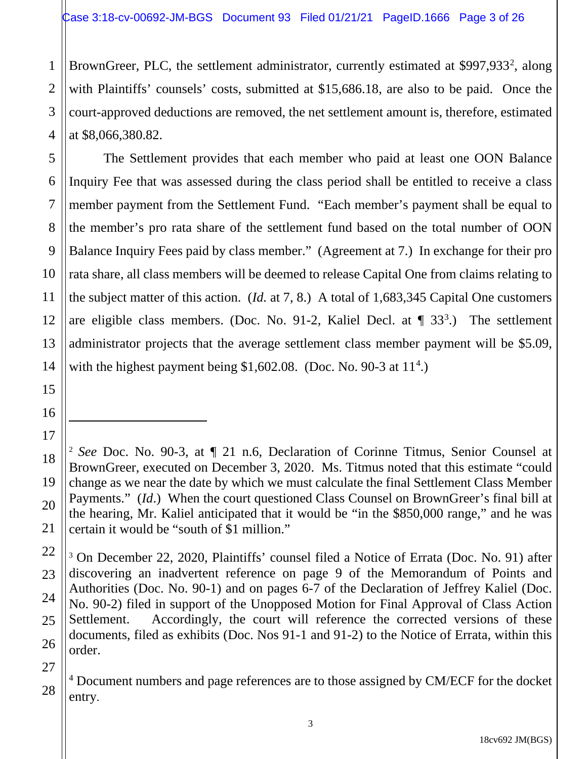BrownGreer, PLC, the settlement administrator, currently estimated at \$997,933<sup>2</sup>, along with Plaintiffs' counsels' costs, submitted at \$15,686.18, are also to be paid. Once the court-approved deductions are removed, the net settlement amount is, therefore, estimated at \$8,066,380.82.

The Settlement provides that each member who paid at least one OON Balance Inquiry Fee that was assessed during the class period shall be entitled to receive a class member payment from the Settlement Fund. "Each member's payment shall be equal to the member's pro rata share of the settlement fund based on the total number of OON Balance Inquiry Fees paid by class member." (Agreement at 7.) In exchange for their pro rata share, all class members will be deemed to release Capital One from claims relating to the subject matter of this action. (*Id.* at 7, 8.) A total of 1,683,345 Capital One customers are eligible class members. (Doc. No. 91-2, Kaliel Decl. at  $\P$  33<sup>3</sup>.) The settlement administrator projects that the average settlement class member payment will be \$5.09, with the highest payment being  $$1,602.08$ . (Doc. No. 90-3 at  $11<sup>4</sup>$ .)

<sup>4</sup> Document numbers and page references are to those assigned by CM/ECF for the docket entry.

1

<sup>2</sup> *See* Doc. No. 90-3, at ¶ 21 n.6, Declaration of Corinne Titmus, Senior Counsel at BrownGreer, executed on December 3, 2020. Ms. Titmus noted that this estimate "could change as we near the date by which we must calculate the final Settlement Class Member Payments." (*Id*.) When the court questioned Class Counsel on BrownGreer's final bill at the hearing, Mr. Kaliel anticipated that it would be "in the \$850,000 range," and he was certain it would be "south of \$1 million."

<sup>3</sup> On December 22, 2020, Plaintiffs' counsel filed a Notice of Errata (Doc. No. 91) after discovering an inadvertent reference on page 9 of the Memorandum of Points and Authorities (Doc. No. 90-1) and on pages 6-7 of the Declaration of Jeffrey Kaliel (Doc. No. 90-2) filed in support of the Unopposed Motion for Final Approval of Class Action Settlement. Accordingly, the court will reference the corrected versions of these documents, filed as exhibits (Doc. Nos 91-1 and 91-2) to the Notice of Errata, within this order.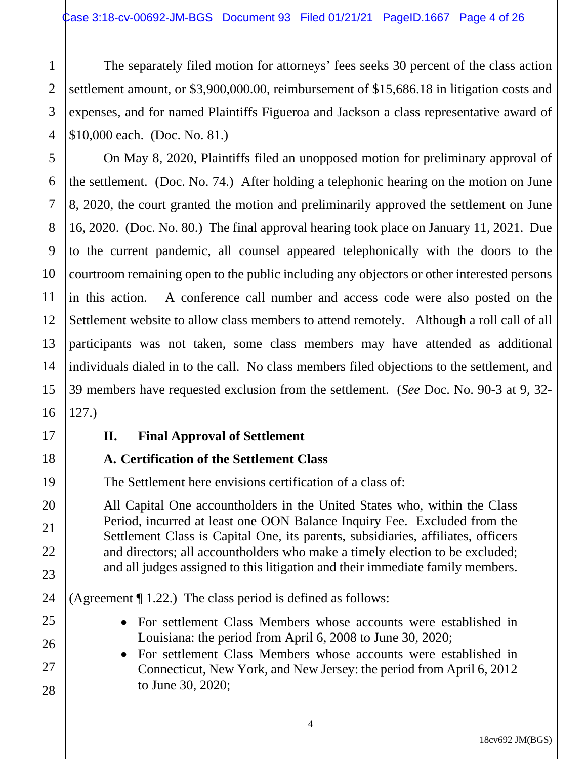4 The separately filed motion for attorneys' fees seeks 30 percent of the class action settlement amount, or \$3,900,000.00, reimbursement of \$15,686.18 in litigation costs and expenses, and for named Plaintiffs Figueroa and Jackson a class representative award of \$10,000 each. (Doc. No. 81.)

On May 8, 2020, Plaintiffs filed an unopposed motion for preliminary approval of the settlement. (Doc. No. 74.) After holding a telephonic hearing on the motion on June 8, 2020, the court granted the motion and preliminarily approved the settlement on June 16, 2020. (Doc. No. 80.) The final approval hearing took place on January 11, 2021. Due to the current pandemic, all counsel appeared telephonically with the doors to the courtroom remaining open to the public including any objectors or other interested persons in this action. A conference call number and access code were also posted on the Settlement website to allow class members to attend remotely. Although a roll call of all participants was not taken, some class members may have attended as additional individuals dialed in to the call. No class members filed objections to the settlement, and 39 members have requested exclusion from the settlement. (*See* Doc. No. 90-3 at 9, 32- 127.)

#### **II. Final Approval of Settlement**

1

2

3

5

6

7

8

9

10

11

12

13

14

15

16

17

18

19

20

21

22

23

24

25

26

27

28

#### **A. Certification of the Settlement Class**

The Settlement here envisions certification of a class of:

All Capital One accountholders in the United States who, within the Class Period, incurred at least one OON Balance Inquiry Fee. Excluded from the Settlement Class is Capital One, its parents, subsidiaries, affiliates, officers and directors; all accountholders who make a timely election to be excluded; and all judges assigned to this litigation and their immediate family members.

(Agreement  $\P$  1.22.) The class period is defined as follows:

- For settlement Class Members whose accounts were established in Louisiana: the period from April 6, 2008 to June 30, 2020;
- For settlement Class Members whose accounts were established in Connecticut, New York, and New Jersey: the period from April 6, 2012 to June 30, 2020;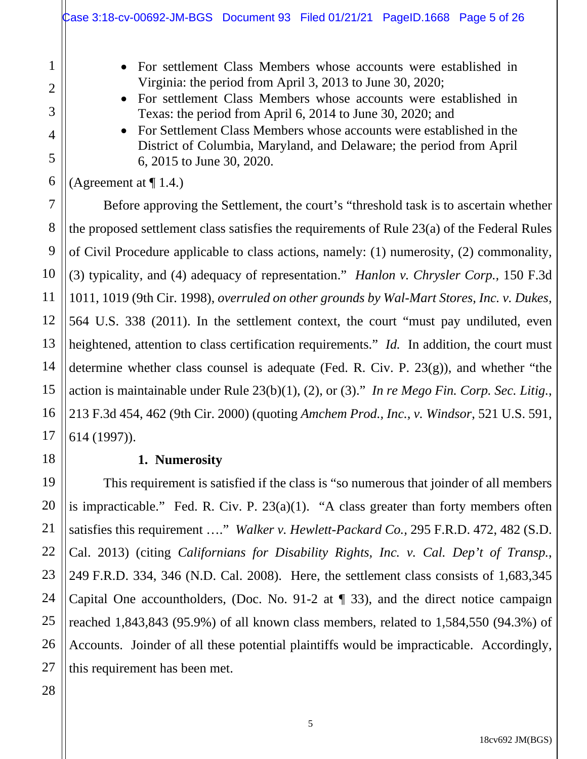- For settlement Class Members whose accounts were established in Virginia: the period from April 3, 2013 to June 30, 2020;
- For settlement Class Members whose accounts were established in Texas: the period from April 6, 2014 to June 30, 2020; and
- For Settlement Class Members whose accounts were established in the District of Columbia, Maryland, and Delaware; the period from April 6, 2015 to June 30, 2020.

(Agreement at  $\P$  1.4.)

1

2

3

4

5

6

7

8

9

10

11

12

13

14

15

16

17

18

19

20

21

22

23

24

Before approving the Settlement, the court's "threshold task is to ascertain whether the proposed settlement class satisfies the requirements of Rule 23(a) of the Federal Rules of Civil Procedure applicable to class actions, namely: (1) numerosity, (2) commonality, (3) typicality, and (4) adequacy of representation." *Hanlon v. Chrysler Corp.,* 150 F.3d 1011, 1019 (9th Cir. 1998), *overruled on other grounds by Wal-Mart Stores, Inc. v. Dukes,*  564 U.S. 338 (2011). In the settlement context, the court "must pay undiluted, even heightened, attention to class certification requirements." *Id.* In addition, the court must determine whether class counsel is adequate (Fed. R. Civ. P. 23(g)), and whether "the action is maintainable under Rule 23(b)(1), (2), or (3)." *In re Mego Fin. Corp. Sec. Litig.*, 213 F.3d 454, 462 (9th Cir. 2000) (quoting *Amchem Prod., Inc., v. Windsor*, 521 U.S. 591, 614 (1997)).

#### **1. Numerosity**

This requirement is satisfied if the class is "so numerous that joinder of all members is impracticable." Fed. R. Civ. P. 23(a)(1). "A class greater than forty members often satisfies this requirement …." *Walker v. Hewlett-Packard Co.,* 295 F.R.D. 472, 482 (S.D. Cal. 2013) (citing *Californians for Disability Rights, Inc. v. Cal. Dep't of Transp.*, 249 F.R.D. 334, 346 (N.D. Cal. 2008). Here, the settlement class consists of 1,683,345 Capital One accountholders, (Doc. No. 91-2 at ¶ 33), and the direct notice campaign reached 1,843,843 (95.9%) of all known class members, related to 1,584,550 (94.3%) of Accounts. Joinder of all these potential plaintiffs would be impracticable. Accordingly, this requirement has been met.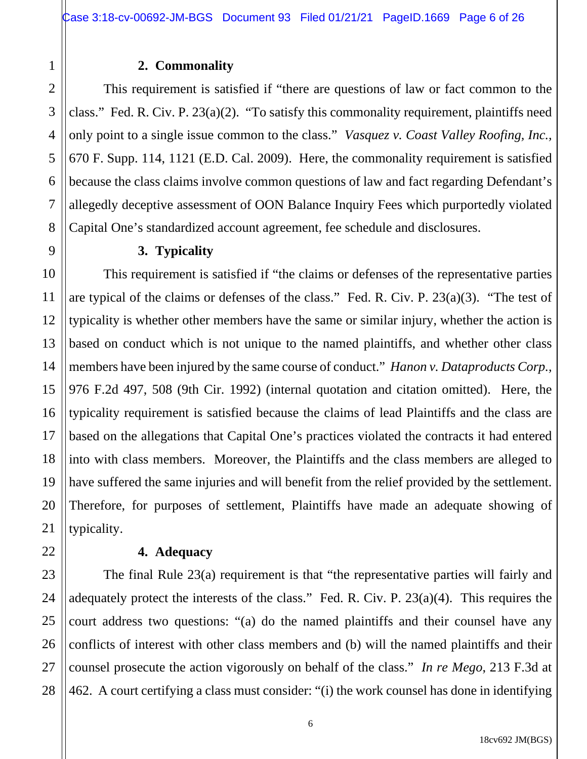#### **2. Commonality**

1

2

3

4

5

6

7

8

9

10

11

12

13

14

15

17

18

19

20

21

22

This requirement is satisfied if "there are questions of law or fact common to the class." Fed. R. Civ. P. 23(a)(2). "To satisfy this commonality requirement, plaintiffs need only point to a single issue common to the class." *Vasquez v. Coast Valley Roofing, Inc.,*  670 F. Supp. 114, 1121 (E.D. Cal. 2009). Here, the commonality requirement is satisfied because the class claims involve common questions of law and fact regarding Defendant's allegedly deceptive assessment of OON Balance Inquiry Fees which purportedly violated Capital One's standardized account agreement, fee schedule and disclosures.

#### **3. Typicality**

16 This requirement is satisfied if "the claims or defenses of the representative parties are typical of the claims or defenses of the class." Fed. R. Civ. P. 23(a)(3). "The test of typicality is whether other members have the same or similar injury, whether the action is based on conduct which is not unique to the named plaintiffs, and whether other class members have been injured by the same course of conduct." *Hanon v. Dataproducts Corp.,* 976 F.2d 497, 508 (9th Cir. 1992) (internal quotation and citation omitted). Here, the typicality requirement is satisfied because the claims of lead Plaintiffs and the class are based on the allegations that Capital One's practices violated the contracts it had entered into with class members. Moreover, the Plaintiffs and the class members are alleged to have suffered the same injuries and will benefit from the relief provided by the settlement. Therefore, for purposes of settlement, Plaintiffs have made an adequate showing of typicality.

#### **4. Adequacy**

23 24 25 26 27 28 The final Rule 23(a) requirement is that "the representative parties will fairly and adequately protect the interests of the class." Fed. R. Civ. P. 23(a)(4). This requires the court address two questions: "(a) do the named plaintiffs and their counsel have any conflicts of interest with other class members and (b) will the named plaintiffs and their counsel prosecute the action vigorously on behalf of the class." *In re Mego*, 213 F.3d at 462. A court certifying a class must consider: "(i) the work counsel has done in identifying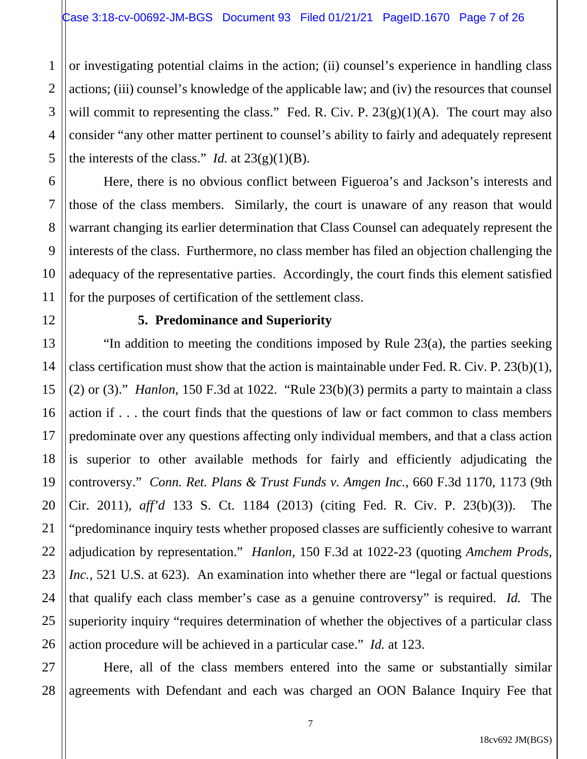4 or investigating potential claims in the action; (ii) counsel's experience in handling class actions; (iii) counsel's knowledge of the applicable law; and (iv) the resources that counsel will commit to representing the class." Fed. R. Civ. P.  $23(g)(1)(A)$ . The court may also consider "any other matter pertinent to counsel's ability to fairly and adequately represent the interests of the class." *Id.* at  $23(g)(1)(B)$ .

Here, there is no obvious conflict between Figueroa's and Jackson's interests and those of the class members. Similarly, the court is unaware of any reason that would warrant changing its earlier determination that Class Counsel can adequately represent the interests of the class. Furthermore, no class member has filed an objection challenging the adequacy of the representative parties. Accordingly, the court finds this element satisfied for the purposes of certification of the settlement class.

1

2

3

5

6

7

8

9

10

11

12

13

14

15

16

17

18

19

20

21

22

23

24

25

26

#### **5. Predominance and Superiority**

"In addition to meeting the conditions imposed by Rule 23(a), the parties seeking class certification must show that the action is maintainable under Fed. R. Civ. P. 23(b)(1), (2) or (3)." *Hanlon*, 150 F.3d at 1022. "Rule  $23(b)(3)$  permits a party to maintain a class action if . . . the court finds that the questions of law or fact common to class members predominate over any questions affecting only individual members, and that a class action is superior to other available methods for fairly and efficiently adjudicating the controversy." *Conn. Ret. Plans & Trust Funds v. Amgen Inc.,* 660 F.3d 1170, 1173 (9th Cir. 2011), *aff'd* 133 S. Ct. 1184 (2013) (citing Fed. R. Civ. P. 23(b)(3)). The "predominance inquiry tests whether proposed classes are sufficiently cohesive to warrant adjudication by representation." *Hanlon,* 150 F.3d at 1022-23 (quoting *Amchem Prods, Inc.*, 521 U.S. at 623). An examination into whether there are "legal or factual questions" that qualify each class member's case as a genuine controversy" is required. *Id.* The superiority inquiry "requires determination of whether the objectives of a particular class action procedure will be achieved in a particular case." *Id.* at 123.

27 28 Here, all of the class members entered into the same or substantially similar agreements with Defendant and each was charged an OON Balance Inquiry Fee that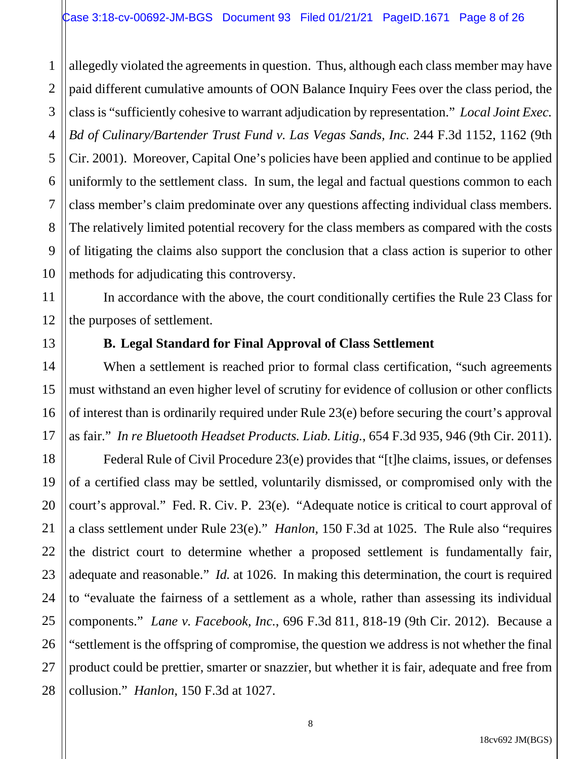1 2 allegedly violated the agreements in question. Thus, although each class member may have paid different cumulative amounts of OON Balance Inquiry Fees over the class period, the class is "sufficiently cohesive to warrant adjudication by representation." *Local Joint Exec. Bd of Culinary/Bartender Trust Fund v. Las Vegas Sands, Inc.* 244 F.3d 1152, 1162 (9th Cir. 2001). Moreover, Capital One's policies have been applied and continue to be applied uniformly to the settlement class. In sum, the legal and factual questions common to each class member's claim predominate over any questions affecting individual class members. The relatively limited potential recovery for the class members as compared with the costs of litigating the claims also support the conclusion that a class action is superior to other methods for adjudicating this controversy.

In accordance with the above, the court conditionally certifies the Rule 23 Class for the purposes of settlement.

#### **B. Legal Standard for Final Approval of Class Settlement**

When a settlement is reached prior to formal class certification, "such agreements must withstand an even higher level of scrutiny for evidence of collusion or other conflicts of interest than is ordinarily required under Rule 23(e) before securing the court's approval as fair." *In re Bluetooth Headset Products. Liab. Litig.*, 654 F.3d 935, 946 (9th Cir. 2011).

Federal Rule of Civil Procedure 23(e) provides that "[t]he claims, issues, or defenses of a certified class may be settled, voluntarily dismissed, or compromised only with the court's approval." Fed. R. Civ. P. 23(e). "Adequate notice is critical to court approval of a class settlement under Rule 23(e)." *Hanlon,* 150 F.3d at 1025. The Rule also "requires the district court to determine whether a proposed settlement is fundamentally fair, adequate and reasonable." *Id.* at 1026. In making this determination, the court is required to "evaluate the fairness of a settlement as a whole, rather than assessing its individual components." *Lane v. Facebook, Inc.*, 696 F.3d 811, 818-19 (9th Cir. 2012). Because a "settlement is the offspring of compromise, the question we address is not whether the final product could be prettier, smarter or snazzier, but whether it is fair, adequate and free from collusion." *Hanlon*, 150 F.3d at 1027.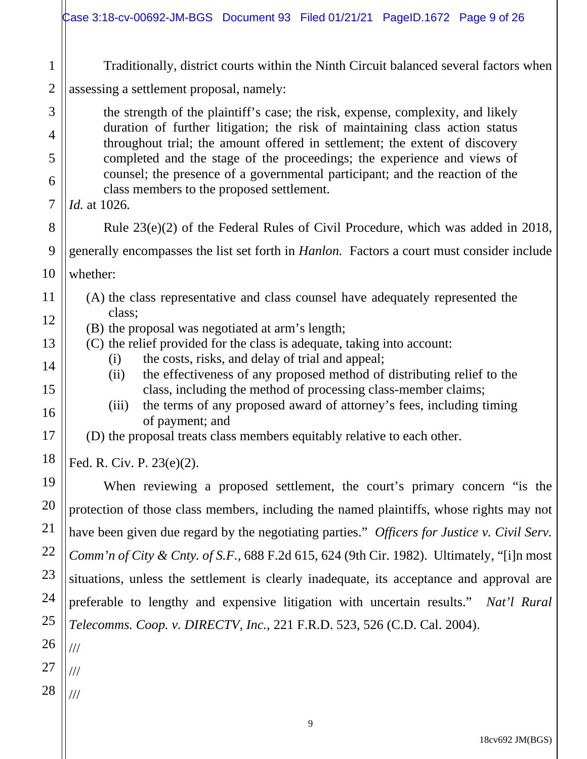|                | Case 3:18-cv-00692-JM-BGS Document 93 Filed 01/21/21 PageID.1672 Page 9 of 26                                                                              |  |  |  |  |  |
|----------------|------------------------------------------------------------------------------------------------------------------------------------------------------------|--|--|--|--|--|
| $\mathbf{1}$   | Traditionally, district courts within the Ninth Circuit balanced several factors when                                                                      |  |  |  |  |  |
| $\overline{2}$ | assessing a settlement proposal, namely:                                                                                                                   |  |  |  |  |  |
| 3              | the strength of the plaintiff's case; the risk, expense, complexity, and likely                                                                            |  |  |  |  |  |
| $\overline{4}$ | duration of further litigation; the risk of maintaining class action status<br>throughout trial; the amount offered in settlement; the extent of discovery |  |  |  |  |  |
| 5              | completed and the stage of the proceedings; the experience and views of                                                                                    |  |  |  |  |  |
| 6              | counsel; the presence of a governmental participant; and the reaction of the<br>class members to the proposed settlement.                                  |  |  |  |  |  |
| $\overline{7}$ | <i>Id.</i> at 1026.                                                                                                                                        |  |  |  |  |  |
| 8              | Rule $23(e)(2)$ of the Federal Rules of Civil Procedure, which was added in 2018,                                                                          |  |  |  |  |  |
| 9              | generally encompasses the list set forth in <i>Hanlon</i> . Factors a court must consider include                                                          |  |  |  |  |  |
| 10             | whether:                                                                                                                                                   |  |  |  |  |  |
| 11             | (A) the class representative and class counsel have adequately represented the                                                                             |  |  |  |  |  |
| 12             | class;<br>(B) the proposal was negotiated at arm's length;                                                                                                 |  |  |  |  |  |
| 13             | (C) the relief provided for the class is adequate, taking into account:                                                                                    |  |  |  |  |  |
| 14             | the costs, risks, and delay of trial and appeal;<br>(i)<br>the effectiveness of any proposed method of distributing relief to the<br>(ii)                  |  |  |  |  |  |
| 15             | class, including the method of processing class-member claims;                                                                                             |  |  |  |  |  |
| 16             | the terms of any proposed award of attorney's fees, including timing<br>(iii)<br>of payment; and                                                           |  |  |  |  |  |
| 17             | (D) the proposal treats class members equitably relative to each other.                                                                                    |  |  |  |  |  |
| 18             | Fed. R. Civ. P. 23(e)(2).                                                                                                                                  |  |  |  |  |  |
| 19             | When reviewing a proposed settlement, the court's primary concern "is the                                                                                  |  |  |  |  |  |
| 20             | protection of those class members, including the named plaintiffs, whose rights may not                                                                    |  |  |  |  |  |
| 21             | have been given due regard by the negotiating parties." Officers for Justice v. Civil Serv.                                                                |  |  |  |  |  |
| 22             | Comm'n of City & Cnty. of S.F., 688 F.2d 615, 624 (9th Cir. 1982). Ultimately, "[i]n most                                                                  |  |  |  |  |  |
| 23             | situations, unless the settlement is clearly inadequate, its acceptance and approval are                                                                   |  |  |  |  |  |
| 24             | preferable to lengthy and expensive litigation with uncertain results." Nat'l Rural                                                                        |  |  |  |  |  |
| 25             | <i>Telecomms. Coop. v. DIRECTV, Inc., 221 F.R.D. 523, 526 (C.D. Cal. 2004).</i>                                                                            |  |  |  |  |  |
| 26             | $/ \! / \! /$                                                                                                                                              |  |  |  |  |  |
| 27             | $\frac{1}{1}$                                                                                                                                              |  |  |  |  |  |
| 28             | $/\!/ /$                                                                                                                                                   |  |  |  |  |  |
|                |                                                                                                                                                            |  |  |  |  |  |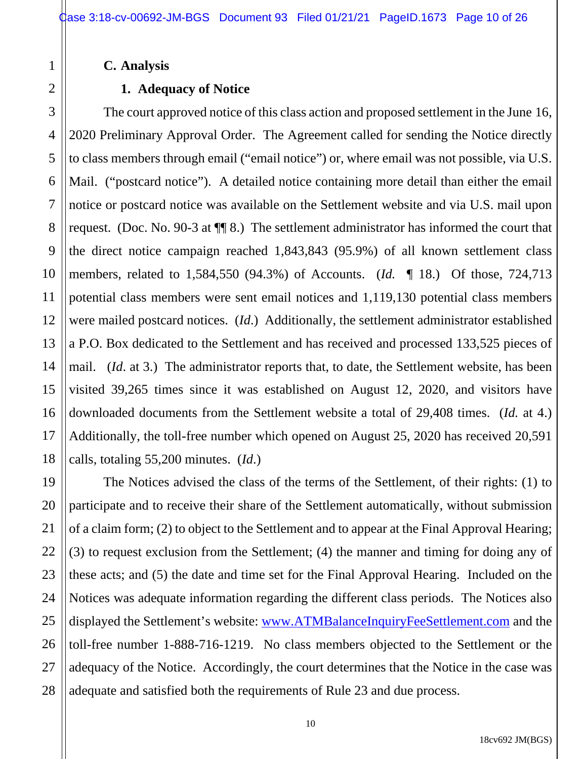**C. Analysis**

#### **1. Adequacy of Notice**

The court approved notice of this class action and proposed settlement in the June 16, 2020 Preliminary Approval Order. The Agreement called for sending the Notice directly to class members through email ("email notice") or, where email was not possible, via U.S. Mail. ("postcard notice"). A detailed notice containing more detail than either the email notice or postcard notice was available on the Settlement website and via U.S. mail upon request. (Doc. No. 90-3 at ¶¶ 8.) The settlement administrator has informed the court that the direct notice campaign reached 1,843,843 (95.9%) of all known settlement class members, related to 1,584,550 (94.3%) of Accounts. (*Id.* ¶ 18.) Of those, 724,713 potential class members were sent email notices and 1,119,130 potential class members were mailed postcard notices. (*Id*.) Additionally, the settlement administrator established a P.O. Box dedicated to the Settlement and has received and processed 133,525 pieces of mail. (*Id*. at 3.) The administrator reports that, to date, the Settlement website, has been visited 39,265 times since it was established on August 12, 2020, and visitors have downloaded documents from the Settlement website a total of 29,408 times. (*Id.* at 4.) Additionally, the toll-free number which opened on August 25, 2020 has received 20,591 calls, totaling 55,200 minutes. (*Id*.)

The Notices advised the class of the terms of the Settlement, of their rights: (1) to participate and to receive their share of the Settlement automatically, without submission of a claim form; (2) to object to the Settlement and to appear at the Final Approval Hearing; (3) to request exclusion from the Settlement; (4) the manner and timing for doing any of these acts; and (5) the date and time set for the Final Approval Hearing. Included on the Notices was adequate information regarding the different class periods. The Notices also displayed the Settlement's website: www.ATMBalanceInquiryFeeSettlement.com and the toll-free number 1-888-716-1219. No class members objected to the Settlement or the adequacy of the Notice. Accordingly, the court determines that the Notice in the case was adequate and satisfied both the requirements of Rule 23 and due process.

1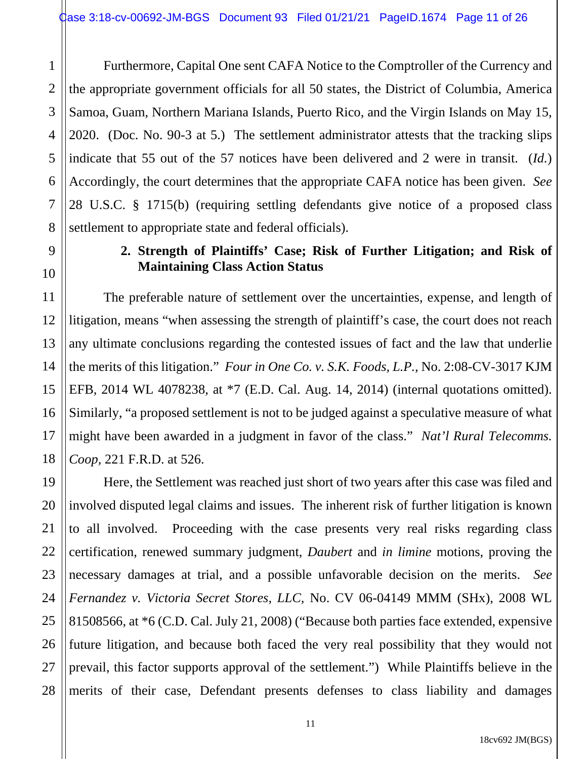3 4 Furthermore, Capital One sent CAFA Notice to the Comptroller of the Currency and the appropriate government officials for all 50 states, the District of Columbia, America Samoa, Guam, Northern Mariana Islands, Puerto Rico, and the Virgin Islands on May 15, 2020. (Doc. No. 90-3 at 5.) The settlement administrator attests that the tracking slips indicate that 55 out of the 57 notices have been delivered and 2 were in transit. (*Id.*) Accordingly, the court determines that the appropriate CAFA notice has been given. *See* 28 U.S.C. § 1715(b) (requiring settling defendants give notice of a proposed class settlement to appropriate state and federal officials).

## **2. Strength of Plaintiffs' Case; Risk of Further Litigation; and Risk of Maintaining Class Action Status**

The preferable nature of settlement over the uncertainties, expense, and length of litigation, means "when assessing the strength of plaintiff's case, the court does not reach any ultimate conclusions regarding the contested issues of fact and the law that underlie the merits of this litigation." *Four in One Co. v. S.K. Foods, L.P.,* No. 2:08-CV-3017 KJM EFB, 2014 WL 4078238, at \*7 (E.D. Cal. Aug. 14, 2014) (internal quotations omitted). Similarly, "a proposed settlement is not to be judged against a speculative measure of what might have been awarded in a judgment in favor of the class." *Nat'l Rural Telecomms. Coop,* 221 F.R.D. at 526.

Here, the Settlement was reached just short of two years after this case was filed and involved disputed legal claims and issues. The inherent risk of further litigation is known to all involved. Proceeding with the case presents very real risks regarding class certification, renewed summary judgment, *Daubert* and *in limine* motions, proving the necessary damages at trial, and a possible unfavorable decision on the merits. *See Fernandez v. Victoria Secret Stores, LLC,* No. CV 06-04149 MMM (SHx), 2008 WL 81508566, at \*6 (C.D. Cal. July 21, 2008) ("Because both parties face extended, expensive future litigation, and because both faced the very real possibility that they would not prevail, this factor supports approval of the settlement.") While Plaintiffs believe in the merits of their case, Defendant presents defenses to class liability and damages

1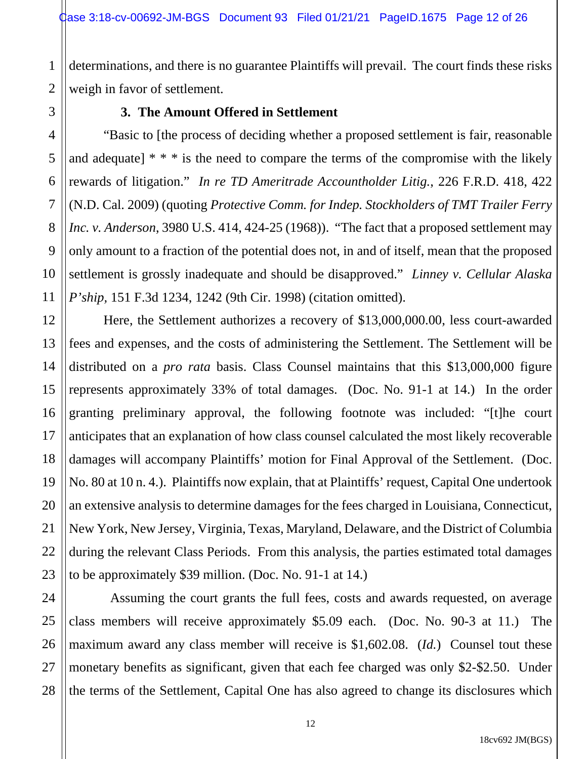2 determinations, and there is no guarantee Plaintiffs will prevail. The court finds these risks weigh in favor of settlement.

1

3

4

5

6

7

8

9

10

11

21

### **3. The Amount Offered in Settlement**

"Basic to [the process of deciding whether a proposed settlement is fair, reasonable and adequate]  $* * *$  is the need to compare the terms of the compromise with the likely rewards of litigation." *In re TD Ameritrade Accountholder Litig.*, 226 F.R.D. 418, 422 (N.D. Cal. 2009) (quoting *Protective Comm. for Indep. Stockholders of TMT Trailer Ferry Inc. v. Anderson*, 3980 U.S. 414, 424-25 (1968)). "The fact that a proposed settlement may only amount to a fraction of the potential does not, in and of itself, mean that the proposed settlement is grossly inadequate and should be disapproved." *Linney v. Cellular Alaska P'ship,* 151 F.3d 1234, 1242 (9th Cir. 1998) (citation omitted).

12 13 14 15 16 17 18 19 20 22 23 Here, the Settlement authorizes a recovery of \$13,000,000.00, less court-awarded fees and expenses, and the costs of administering the Settlement. The Settlement will be distributed on a *pro rata* basis. Class Counsel maintains that this \$13,000,000 figure represents approximately 33% of total damages. (Doc. No. 91-1 at 14.) In the order granting preliminary approval, the following footnote was included: "[t]he court anticipates that an explanation of how class counsel calculated the most likely recoverable damages will accompany Plaintiffs' motion for Final Approval of the Settlement. (Doc. No. 80 at 10 n. 4.). Plaintiffs now explain, that at Plaintiffs' request, Capital One undertook an extensive analysis to determine damages for the fees charged in Louisiana, Connecticut, New York, New Jersey, Virginia, Texas, Maryland, Delaware, and the District of Columbia during the relevant Class Periods. From this analysis, the parties estimated total damages to be approximately \$39 million. (Doc. No. 91-1 at 14.)

24 25 26 27 28 Assuming the court grants the full fees, costs and awards requested, on average class members will receive approximately \$5.09 each. (Doc. No. 90-3 at 11.) The maximum award any class member will receive is \$1,602.08. (*Id.*) Counsel tout these monetary benefits as significant, given that each fee charged was only \$2-\$2.50. Under the terms of the Settlement, Capital One has also agreed to change its disclosures which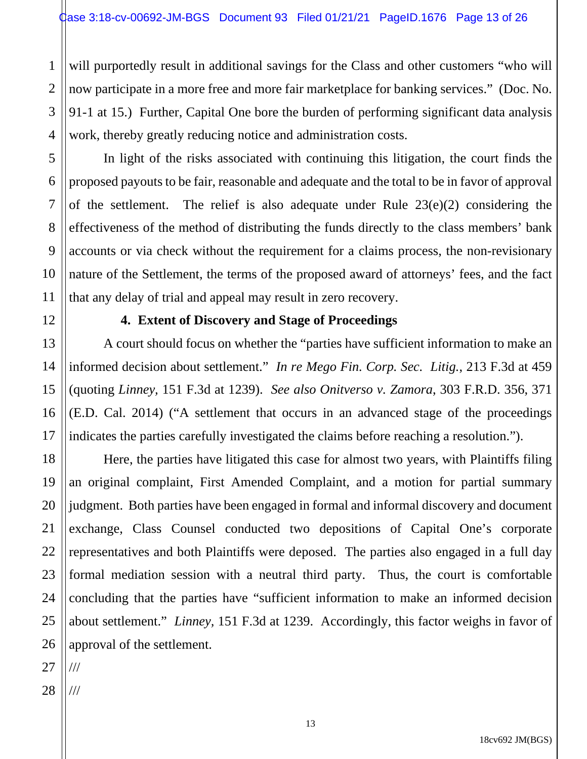will purportedly result in additional savings for the Class and other customers "who will now participate in a more free and more fair marketplace for banking services." (Doc. No. 91-1 at 15.) Further, Capital One bore the burden of performing significant data analysis work, thereby greatly reducing notice and administration costs.

In light of the risks associated with continuing this litigation, the court finds the proposed payouts to be fair, reasonable and adequate and the total to be in favor of approval of the settlement. The relief is also adequate under Rule 23(e)(2) considering the effectiveness of the method of distributing the funds directly to the class members' bank accounts or via check without the requirement for a claims process, the non-revisionary nature of the Settlement, the terms of the proposed award of attorneys' fees, and the fact that any delay of trial and appeal may result in zero recovery.

1

2

3

4

5

6

7

8

9

10

11

12

13

14

15

16

17

#### **4. Extent of Discovery and Stage of Proceedings**

A court should focus on whether the "parties have sufficient information to make an informed decision about settlement." *In re Mego Fin. Corp. Sec. Litig.*, 213 F.3d at 459 (quoting *Linney,* 151 F.3d at 1239). *See also Onitverso v. Zamora*, 303 F.R.D. 356, 371 (E.D. Cal. 2014) ("A settlement that occurs in an advanced stage of the proceedings indicates the parties carefully investigated the claims before reaching a resolution.").

18 19 20 21 22 23 24 25 26 Here, the parties have litigated this case for almost two years, with Plaintiffs filing an original complaint, First Amended Complaint, and a motion for partial summary judgment. Both parties have been engaged in formal and informal discovery and document exchange, Class Counsel conducted two depositions of Capital One's corporate representatives and both Plaintiffs were deposed. The parties also engaged in a full day formal mediation session with a neutral third party. Thus, the court is comfortable concluding that the parties have "sufficient information to make an informed decision about settlement." *Linney,* 151 F.3d at 1239. Accordingly, this factor weighs in favor of approval of the settlement.

27 ///

28 ///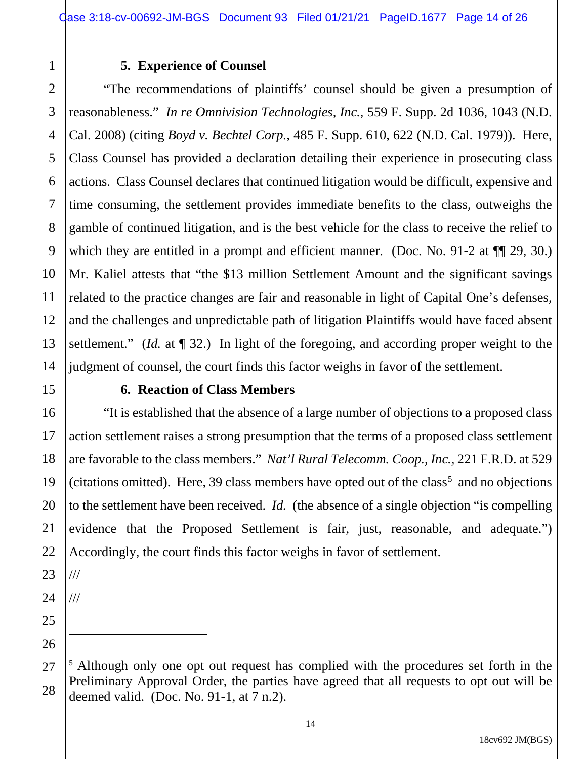#### **5. Experience of Counsel**

4 6 9 10 12 13 14 "The recommendations of plaintiffs' counsel should be given a presumption of reasonableness." *In re Omnivision Technologies, Inc.*, 559 F. Supp. 2d 1036, 1043 (N.D. Cal. 2008) (citing *Boyd v. Bechtel Corp.,* 485 F. Supp. 610, 622 (N.D. Cal. 1979)). Here, Class Counsel has provided a declaration detailing their experience in prosecuting class actions. Class Counsel declares that continued litigation would be difficult, expensive and time consuming, the settlement provides immediate benefits to the class, outweighs the gamble of continued litigation, and is the best vehicle for the class to receive the relief to which they are entitled in a prompt and efficient manner. (Doc. No. 91-2 at  $\P$  29, 30.) Mr. Kaliel attests that "the \$13 million Settlement Amount and the significant savings related to the practice changes are fair and reasonable in light of Capital One's defenses, and the challenges and unpredictable path of litigation Plaintiffs would have faced absent settlement." (*Id.* at  $\P$  32.) In light of the foregoing, and according proper weight to the judgment of counsel, the court finds this factor weighs in favor of the settlement.

15

17

18

19

21

22

1

2

3

5

7

8

11

#### **6. Reaction of Class Members**

16 20 "It is established that the absence of a large number of objections to a proposed class action settlement raises a strong presumption that the terms of a proposed class settlement are favorable to the class members." *Nat'l Rural Telecomm. Coop., Inc.,* 221 F.R.D. at 529 (citations omitted). Here, 39 class members have opted out of the class<sup>5</sup> and no objections to the settlement have been received. *Id.* (the absence of a single objection "is compelling evidence that the Proposed Settlement is fair, just, reasonable, and adequate.") Accordingly, the court finds this factor weighs in favor of settlement.

23 ///

24 ///

25

<sup>27</sup> 28 <sup>5</sup> Although only one opt out request has complied with the procedures set forth in the Preliminary Approval Order, the parties have agreed that all requests to opt out will be deemed valid. (Doc. No. 91-1, at 7 n.2).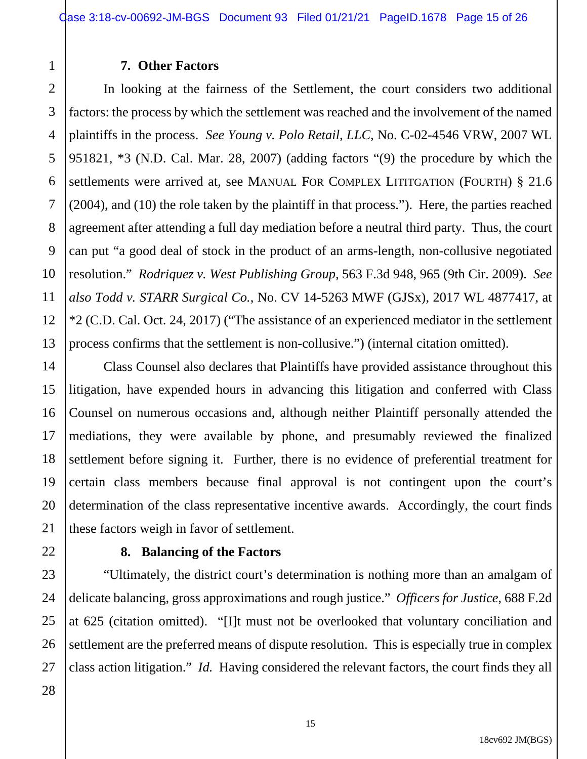#### **7. Other Factors**

In looking at the fairness of the Settlement, the court considers two additional factors: the process by which the settlement was reached and the involvement of the named plaintiffs in the process. *See Young v. Polo Retail, LLC,* No. C-02-4546 VRW, 2007 WL 951821, \*3 (N.D. Cal. Mar. 28, 2007) (adding factors "(9) the procedure by which the settlements were arrived at, see MANUAL FOR COMPLEX LITITGATION (FOURTH) § 21.6 (2004), and (10) the role taken by the plaintiff in that process."). Here, the parties reached agreement after attending a full day mediation before a neutral third party. Thus, the court can put "a good deal of stock in the product of an arms-length, non-collusive negotiated resolution." *Rodriquez v. West Publishing Group,* 563 F.3d 948, 965 (9th Cir. 2009). *See also Todd v. STARR Surgical Co.*, No. CV 14-5263 MWF (GJSx), 2017 WL 4877417, at \*2 (C.D. Cal. Oct. 24, 2017) ("The assistance of an experienced mediator in the settlement process confirms that the settlement is non-collusive.") (internal citation omitted).

Class Counsel also declares that Plaintiffs have provided assistance throughout this litigation, have expended hours in advancing this litigation and conferred with Class Counsel on numerous occasions and, although neither Plaintiff personally attended the mediations, they were available by phone, and presumably reviewed the finalized settlement before signing it. Further, there is no evidence of preferential treatment for certain class members because final approval is not contingent upon the court's determination of the class representative incentive awards. Accordingly, the court finds these factors weigh in favor of settlement.

#### **8. Balancing of the Factors**

"Ultimately, the district court's determination is nothing more than an amalgam of delicate balancing, gross approximations and rough justice." *Officers for Justice*, 688 F.2d at 625 (citation omitted). "[I]t must not be overlooked that voluntary conciliation and settlement are the preferred means of dispute resolution. This is especially true in complex class action litigation." *Id.* Having considered the relevant factors, the court finds they all

1

2

3

4

5

6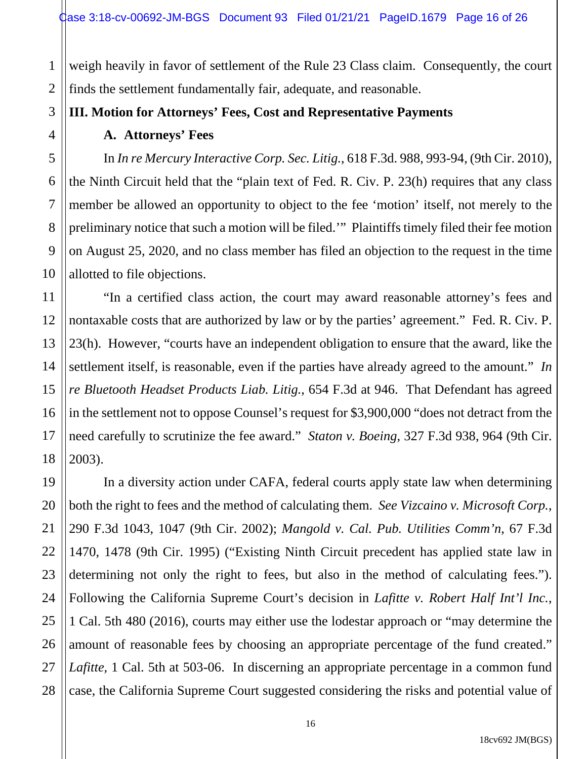weigh heavily in favor of settlement of the Rule 23 Class claim. Consequently, the court finds the settlement fundamentally fair, adequate, and reasonable.

**III. Motion for Attorneys' Fees, Cost and Representative Payments**

#### **A. Attorneys' Fees**

In *In re Mercury Interactive Corp. Sec. Litig.*, 618 F.3d. 988, 993-94, (9th Cir. 2010), the Ninth Circuit held that the "plain text of Fed. R. Civ. P. 23(h) requires that any class member be allowed an opportunity to object to the fee 'motion' itself, not merely to the preliminary notice that such a motion will be filed.'" Plaintiffs timely filed their fee motion on August 25, 2020, and no class member has filed an objection to the request in the time allotted to file objections.

"In a certified class action, the court may award reasonable attorney's fees and nontaxable costs that are authorized by law or by the parties' agreement." Fed. R. Civ. P. 23(h). However, "courts have an independent obligation to ensure that the award, like the settlement itself, is reasonable, even if the parties have already agreed to the amount." *In re Bluetooth Headset Products Liab. Litig.*, 654 F.3d at 946. That Defendant has agreed in the settlement not to oppose Counsel's request for \$3,900,000 "does not detract from the need carefully to scrutinize the fee award." *Staton v. Boeing*, 327 F.3d 938, 964 (9th Cir. 2003).

In a diversity action under CAFA, federal courts apply state law when determining both the right to fees and the method of calculating them. *See Vizcaino v. Microsoft Corp.*, 290 F.3d 1043, 1047 (9th Cir. 2002); *Mangold v. Cal. Pub. Utilities Comm'n*, 67 F.3d 1470, 1478 (9th Cir. 1995) ("Existing Ninth Circuit precedent has applied state law in determining not only the right to fees, but also in the method of calculating fees."). Following the California Supreme Court's decision in *Lafitte v. Robert Half Int'l Inc.*, 1 Cal. 5th 480 (2016), courts may either use the lodestar approach or "may determine the amount of reasonable fees by choosing an appropriate percentage of the fund created." *Lafitte,* 1 Cal. 5th at 503-06. In discerning an appropriate percentage in a common fund case, the California Supreme Court suggested considering the risks and potential value of

1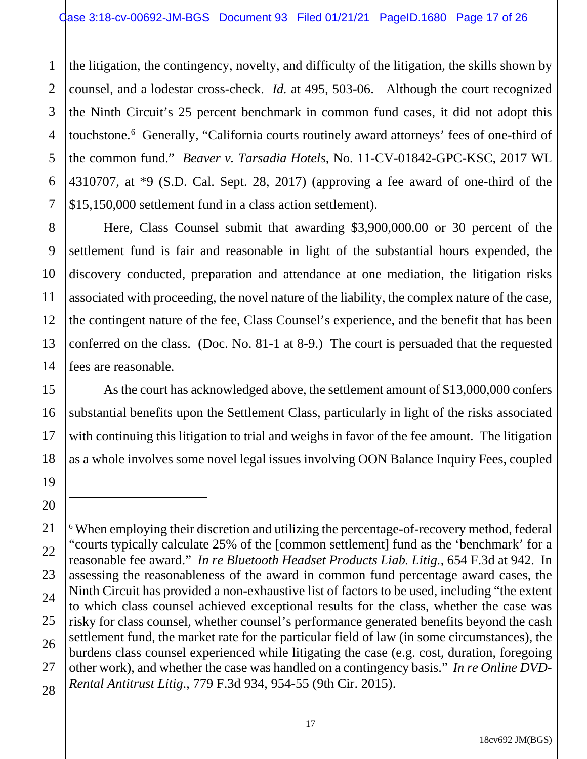1 2 3 4 5 6 7 the litigation, the contingency, novelty, and difficulty of the litigation, the skills shown by counsel, and a lodestar cross-check. *Id.* at 495, 503-06. Although the court recognized the Ninth Circuit's 25 percent benchmark in common fund cases, it did not adopt this touchstone.<sup>6</sup> Generally, "California courts routinely award attorneys' fees of one-third of the common fund." *Beaver v. Tarsadia Hotels*, No. 11-CV-01842-GPC-KSC, 2017 WL 4310707, at \*9 (S.D. Cal. Sept. 28, 2017) (approving a fee award of one-third of the \$15,150,000 settlement fund in a class action settlement).

8 9 10 12 13 14 Here, Class Counsel submit that awarding \$3,900,000.00 or 30 percent of the settlement fund is fair and reasonable in light of the substantial hours expended, the discovery conducted, preparation and attendance at one mediation, the litigation risks associated with proceeding, the novel nature of the liability, the complex nature of the case, the contingent nature of the fee, Class Counsel's experience, and the benefit that has been conferred on the class. (Doc. No. 81-1 at 8-9.) The court is persuaded that the requested fees are reasonable.

11

15

16

17

18

19

20

As the court has acknowledged above, the settlement amount of \$13,000,000 confers substantial benefits upon the Settlement Class, particularly in light of the risks associated with continuing this litigation to trial and weighs in favor of the fee amount. The litigation as a whole involves some novel legal issues involving OON Balance Inquiry Fees, coupled

<sup>21</sup> 22 23 24 25 26 27 28 <sup>6</sup> When employing their discretion and utilizing the percentage-of-recovery method, federal "courts typically calculate 25% of the [common settlement] fund as the 'benchmark' for a reasonable fee award." *In re Bluetooth Headset Products Liab. Litig.*, 654 F.3d at 942. In assessing the reasonableness of the award in common fund percentage award cases, the Ninth Circuit has provided a non-exhaustive list of factors to be used, including "the extent to which class counsel achieved exceptional results for the class, whether the case was risky for class counsel, whether counsel's performance generated benefits beyond the cash settlement fund, the market rate for the particular field of law (in some circumstances), the burdens class counsel experienced while litigating the case (e.g. cost, duration, foregoing other work), and whether the case was handled on a contingency basis." *In re Online DVD-Rental Antitrust Litig*., 779 F.3d 934, 954-55 (9th Cir. 2015).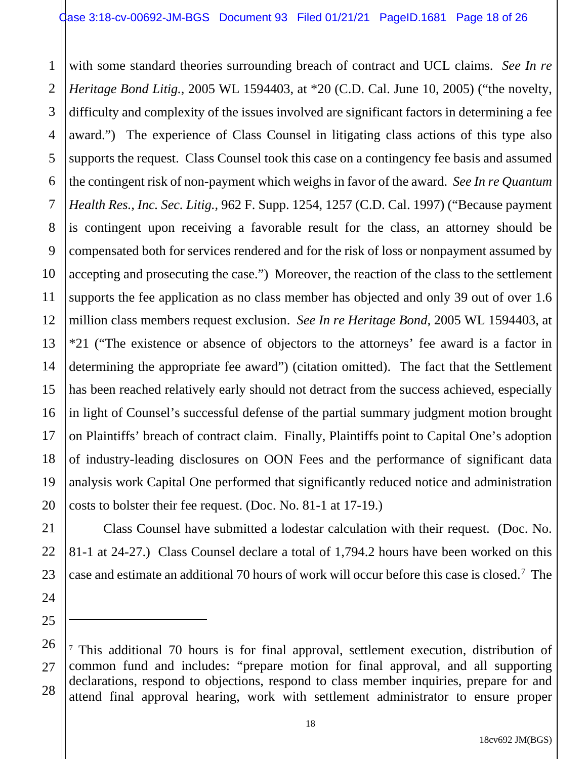1 2 3 4 5 6 7 8 9 10 11 12 13 14 15 16 17 18 19 20 with some standard theories surrounding breach of contract and UCL claims. *See In re Heritage Bond Litig.,* 2005 WL 1594403, at \*20 (C.D. Cal. June 10, 2005) ("the novelty, difficulty and complexity of the issues involved are significant factors in determining a fee award.") The experience of Class Counsel in litigating class actions of this type also supports the request. Class Counsel took this case on a contingency fee basis and assumed the contingent risk of non-payment which weighs in favor of the award. *See In re Quantum Health Res., Inc. Sec. Litig.,* 962 F. Supp. 1254, 1257 (C.D. Cal. 1997) ("Because payment is contingent upon receiving a favorable result for the class, an attorney should be compensated both for services rendered and for the risk of loss or nonpayment assumed by accepting and prosecuting the case.") Moreover, the reaction of the class to the settlement supports the fee application as no class member has objected and only 39 out of over 1.6 million class members request exclusion. *See In re Heritage Bond,* 2005 WL 1594403, at \*21 ("The existence or absence of objectors to the attorneys' fee award is a factor in determining the appropriate fee award") (citation omitted). The fact that the Settlement has been reached relatively early should not detract from the success achieved, especially in light of Counsel's successful defense of the partial summary judgment motion brought on Plaintiffs' breach of contract claim. Finally, Plaintiffs point to Capital One's adoption of industry-leading disclosures on OON Fees and the performance of significant data analysis work Capital One performed that significantly reduced notice and administration costs to bolster their fee request. (Doc. No. 81-1 at 17-19.)

Class Counsel have submitted a lodestar calculation with their request. (Doc. No. 81-1 at 24-27.) Class Counsel declare a total of 1,794.2 hours have been worked on this case and estimate an additional 70 hours of work will occur before this case is closed.7 The

21

22

23

24

<sup>26</sup> 27 28 <sup>7</sup> This additional 70 hours is for final approval, settlement execution, distribution of common fund and includes: "prepare motion for final approval, and all supporting declarations, respond to objections, respond to class member inquiries, prepare for and attend final approval hearing, work with settlement administrator to ensure proper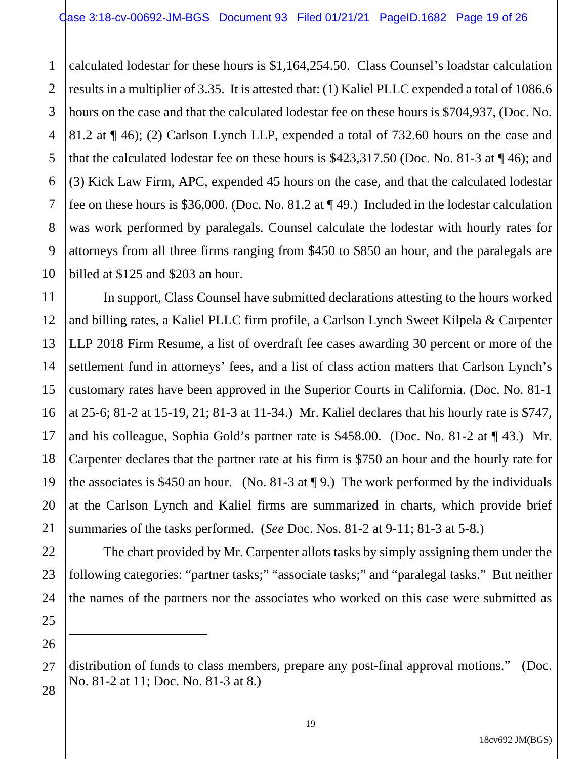1 2 3 4 calculated lodestar for these hours is \$1,164,254.50. Class Counsel's loadstar calculation results in a multiplier of 3.35. It is attested that: (1) Kaliel PLLC expended a total of 1086.6 hours on the case and that the calculated lodestar fee on these hours is \$704,937, (Doc. No. 81.2 at ¶ 46); (2) Carlson Lynch LLP, expended a total of 732.60 hours on the case and that the calculated lodestar fee on these hours is \$423,317.50 (Doc. No. 81-3 at ¶ 46); and (3) Kick Law Firm, APC, expended 45 hours on the case, and that the calculated lodestar fee on these hours is \$36,000. (Doc. No. 81.2 at ¶ 49.) Included in the lodestar calculation was work performed by paralegals. Counsel calculate the lodestar with hourly rates for attorneys from all three firms ranging from \$450 to \$850 an hour, and the paralegals are billed at \$125 and \$203 an hour.

In support, Class Counsel have submitted declarations attesting to the hours worked and billing rates, a Kaliel PLLC firm profile, a Carlson Lynch Sweet Kilpela & Carpenter LLP 2018 Firm Resume, a list of overdraft fee cases awarding 30 percent or more of the settlement fund in attorneys' fees, and a list of class action matters that Carlson Lynch's customary rates have been approved in the Superior Courts in California. (Doc. No. 81-1 at 25-6; 81-2 at 15-19, 21; 81-3 at 11-34.) Mr. Kaliel declares that his hourly rate is \$747, and his colleague, Sophia Gold's partner rate is \$458.00. (Doc. No. 81-2 at ¶ 43.) Mr. Carpenter declares that the partner rate at his firm is \$750 an hour and the hourly rate for the associates is \$450 an hour. (No. 81-3 at  $\P$  9.) The work performed by the individuals at the Carlson Lynch and Kaliel firms are summarized in charts, which provide brief summaries of the tasks performed. (*See* Doc. Nos. 81-2 at 9-11; 81-3 at 5-8.)

The chart provided by Mr. Carpenter allots tasks by simply assigning them under the following categories: "partner tasks;" "associate tasks;" and "paralegal tasks." But neither the names of the partners nor the associates who worked on this case were submitted as

distribution of funds to class members, prepare any post-final approval motions." (Doc. No. 81-2 at 11; Doc. No. 81-3 at 8.)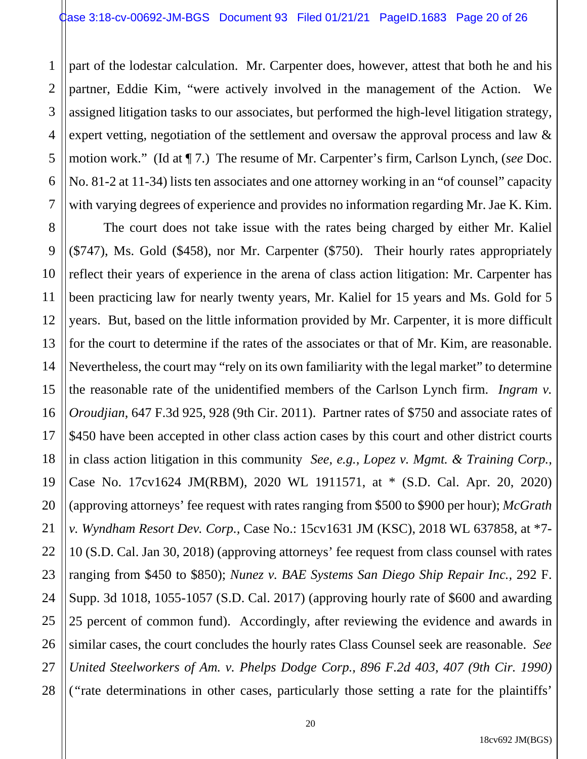1

2

3 4 5 6 7 part of the lodestar calculation. Mr. Carpenter does, however, attest that both he and his partner, Eddie Kim, "were actively involved in the management of the Action. We assigned litigation tasks to our associates, but performed the high-level litigation strategy, expert vetting, negotiation of the settlement and oversaw the approval process and law & motion work." (Id at ¶ 7.) The resume of Mr. Carpenter's firm, Carlson Lynch, (*see* Doc. No. 81-2 at 11-34) lists ten associates and one attorney working in an "of counsel" capacity with varying degrees of experience and provides no information regarding Mr. Jae K. Kim.

8 9 10 11 12 13 14 15 16 17 18 19 20 21 22 23 24 25 26 27 28 The court does not take issue with the rates being charged by either Mr. Kaliel (\$747), Ms. Gold (\$458), nor Mr. Carpenter (\$750). Their hourly rates appropriately reflect their years of experience in the arena of class action litigation: Mr. Carpenter has been practicing law for nearly twenty years, Mr. Kaliel for 15 years and Ms. Gold for 5 years. But, based on the little information provided by Mr. Carpenter, it is more difficult for the court to determine if the rates of the associates or that of Mr. Kim, are reasonable. Nevertheless, the court may "rely on its own familiarity with the legal market" to determine the reasonable rate of the unidentified members of the Carlson Lynch firm. *Ingram v. Oroudjian*, 647 F.3d 925, 928 (9th Cir. 2011). Partner rates of \$750 and associate rates of \$450 have been accepted in other class action cases by this court and other district courts in class action litigation in this community *See, e.g., Lopez v. Mgmt. & Training Corp.,*  Case No. 17cv1624 JM(RBM), 2020 WL 1911571, at \* (S.D. Cal. Apr. 20, 2020) (approving attorneys' fee request with rates ranging from \$500 to \$900 per hour); *McGrath v. Wyndham Resort Dev. Corp.,* Case No.: 15cv1631 JM (KSC), 2018 WL 637858, at \*7- 10 (S.D. Cal. Jan 30, 2018) (approving attorneys' fee request from class counsel with rates ranging from \$450 to \$850); *Nunez v. BAE Systems San Diego Ship Repair Inc.,* 292 F. Supp. 3d 1018, 1055-1057 (S.D. Cal. 2017) (approving hourly rate of \$600 and awarding 25 percent of common fund). Accordingly, after reviewing the evidence and awards in similar cases, the court concludes the hourly rates Class Counsel seek are reasonable. *See United Steelworkers of Am. v. Phelps Dodge Corp., 896 F.2d 403, 407 (9th Cir. 1990)* (*"*rate determinations in other cases, particularly those setting a rate for the plaintiffs'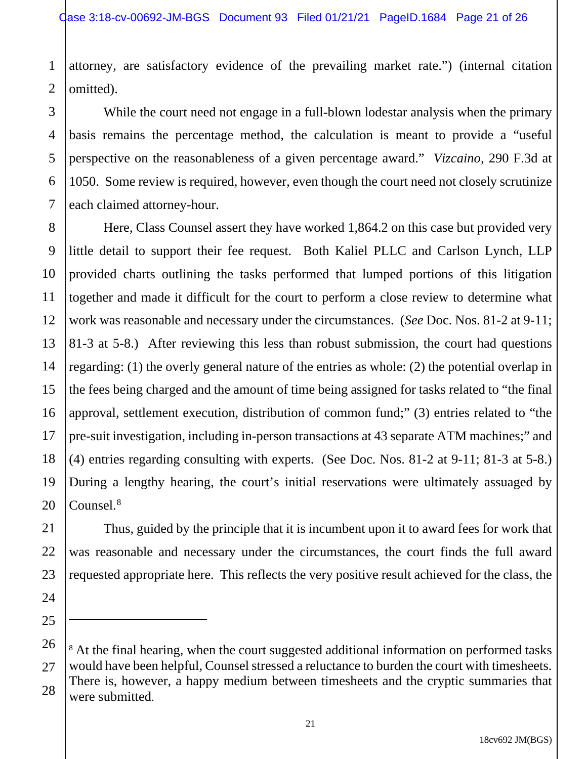attorney, are satisfactory evidence of the prevailing market rate.") (internal citation omitted).

While the court need not engage in a full-blown lodestar analysis when the primary basis remains the percentage method, the calculation is meant to provide a "useful perspective on the reasonableness of a given percentage award." *Vizcaino,* 290 F.3d at 1050. Some review is required, however, even though the court need not closely scrutinize each claimed attorney-hour.

Here, Class Counsel assert they have worked 1,864.2 on this case but provided very little detail to support their fee request. Both Kaliel PLLC and Carlson Lynch, LLP provided charts outlining the tasks performed that lumped portions of this litigation together and made it difficult for the court to perform a close review to determine what work was reasonable and necessary under the circumstances. (*See* Doc. Nos. 81-2 at 9-11; 81-3 at 5-8.) After reviewing this less than robust submission, the court had questions regarding: (1) the overly general nature of the entries as whole: (2) the potential overlap in the fees being charged and the amount of time being assigned for tasks related to "the final approval, settlement execution, distribution of common fund;" (3) entries related to "the pre-suit investigation, including in-person transactions at 43 separate ATM machines;" and (4) entries regarding consulting with experts. (See Doc. Nos. 81-2 at 9-11; 81-3 at 5-8.) During a lengthy hearing, the court's initial reservations were ultimately assuaged by Counsel. 8

Thus, guided by the principle that it is incumbent upon it to award fees for work that was reasonable and necessary under the circumstances, the court finds the full award requested appropriate here. This reflects the very positive result achieved for the class, the

<sup>&</sup>lt;sup>8</sup> At the final hearing, when the court suggested additional information on performed tasks would have been helpful, Counsel stressed a reluctance to burden the court with timesheets. There is, however, a happy medium between timesheets and the cryptic summaries that were submitted.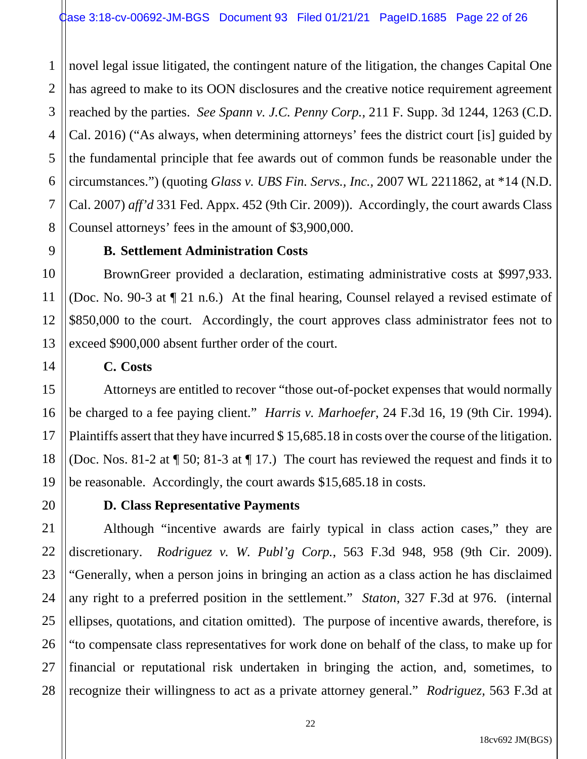1 2 3 4 5 6 7 8 novel legal issue litigated, the contingent nature of the litigation, the changes Capital One has agreed to make to its OON disclosures and the creative notice requirement agreement reached by the parties. *See Spann v. J.C. Penny Corp.,* 211 F. Supp. 3d 1244, 1263 (C.D. Cal. 2016) ("As always, when determining attorneys' fees the district court [is] guided by the fundamental principle that fee awards out of common funds be reasonable under the circumstances.") (quoting *Glass v. UBS Fin. Servs., Inc.,* 2007 WL 2211862, at \*14 (N.D. Cal. 2007) *aff'd* 331 Fed. Appx. 452 (9th Cir. 2009)). Accordingly, the court awards Class Counsel attorneys' fees in the amount of \$3,900,000.

#### **B. Settlement Administration Costs**

BrownGreer provided a declaration, estimating administrative costs at \$997,933. (Doc. No. 90-3 at ¶ 21 n.6.) At the final hearing, Counsel relayed a revised estimate of \$850,000 to the court. Accordingly, the court approves class administrator fees not to exceed \$900,000 absent further order of the court.

## **C. Costs**

Attorneys are entitled to recover "those out-of-pocket expenses that would normally be charged to a fee paying client." *Harris v. Marhoefer*, 24 F.3d 16, 19 (9th Cir. 1994). Plaintiffs assert that they have incurred \$ 15,685.18 in costs over the course of the litigation. (Doc. Nos. 81-2 at ¶ 50; 81-3 at ¶ 17.) The court has reviewed the request and finds it to be reasonable. Accordingly, the court awards \$15,685.18 in costs.

9

10

11

12

13

14

15

16

17

18

19

20

21

22

23

24

25

26

27

28

## **D. Class Representative Payments**

Although "incentive awards are fairly typical in class action cases," they are discretionary. *Rodriguez v. W. Publ'g Corp.*, 563 F.3d 948, 958 (9th Cir. 2009). "Generally, when a person joins in bringing an action as a class action he has disclaimed any right to a preferred position in the settlement." *Staton*, 327 F.3d at 976. (internal ellipses, quotations, and citation omitted). The purpose of incentive awards, therefore, is "to compensate class representatives for work done on behalf of the class, to make up for financial or reputational risk undertaken in bringing the action, and, sometimes, to recognize their willingness to act as a private attorney general." *Rodriguez,* 563 F.3d at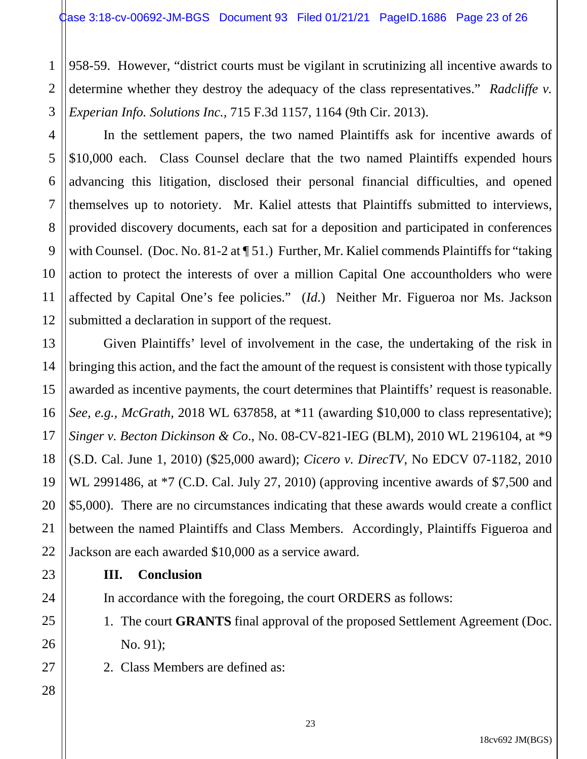2 3 958-59. However, "district courts must be vigilant in scrutinizing all incentive awards to determine whether they destroy the adequacy of the class representatives." *Radcliffe v. Experian Info. Solutions Inc.,* 715 F.3d 1157, 1164 (9th Cir. 2013).

In the settlement papers, the two named Plaintiffs ask for incentive awards of \$10,000 each. Class Counsel declare that the two named Plaintiffs expended hours advancing this litigation, disclosed their personal financial difficulties, and opened themselves up to notoriety. Mr. Kaliel attests that Plaintiffs submitted to interviews, provided discovery documents, each sat for a deposition and participated in conferences with Counsel. (Doc. No. 81-2 at ¶ 51.) Further, Mr. Kaliel commends Plaintiffs for "taking action to protect the interests of over a million Capital One accountholders who were affected by Capital One's fee policies." (*Id*.) Neither Mr. Figueroa nor Ms. Jackson submitted a declaration in support of the request.

16 Given Plaintiffs' level of involvement in the case, the undertaking of the risk in bringing this action, and the fact the amount of the request is consistent with those typically awarded as incentive payments, the court determines that Plaintiffs' request is reasonable. *See, e.g., McGrath,* 2018 WL 637858, at \*11 (awarding \$10,000 to class representative); *Singer v. Becton Dickinson & Co*., No. 08-CV-821-IEG (BLM), 2010 WL 2196104, at \*9 (S.D. Cal. June 1, 2010) (\$25,000 award); *Cicero v. DirecTV*, No EDCV 07-1182, 2010 WL 2991486, at  $*7$  (C.D. Cal. July 27, 2010) (approving incentive awards of \$7,500 and \$5,000). There are no circumstances indicating that these awards would create a conflict between the named Plaintiffs and Class Members. Accordingly, Plaintiffs Figueroa and Jackson are each awarded \$10,000 as a service award.

**III. Conclusion**

In accordance with the foregoing, the court ORDERS as follows:

- 1. The court **GRANTS** final approval of the proposed Settlement Agreement (Doc. No. 91);
- 2. Class Members are defined as:

1

4

5

6

7

8

9

10

11

12

13

14

15

17

18

19

20

21

22

23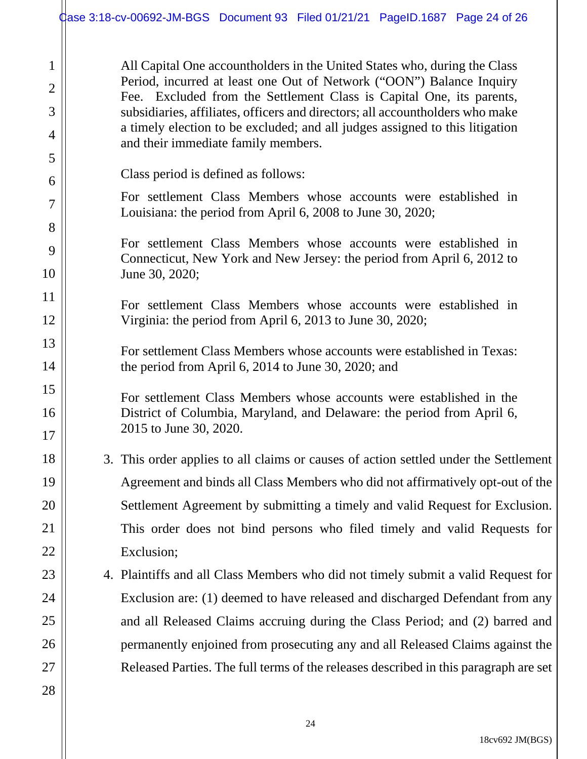All Capital One accountholders in the United States who, during the Class Period, incurred at least one Out of Network ("OON") Balance Inquiry Fee. Excluded from the Settlement Class is Capital One, its parents, subsidiaries, affiliates, officers and directors; all accountholders who make a timely election to be excluded; and all judges assigned to this litigation and their immediate family members.

- Class period is defined as follows:
- For settlement Class Members whose accounts were established in Louisiana: the period from April 6, 2008 to June 30, 2020;

For settlement Class Members whose accounts were established in Connecticut, New York and New Jersey: the period from April 6, 2012 to June 30, 2020;

For settlement Class Members whose accounts were established in Virginia: the period from April 6, 2013 to June 30, 2020;

For settlement Class Members whose accounts were established in Texas: the period from April 6, 2014 to June 30, 2020; and

For settlement Class Members whose accounts were established in the District of Columbia, Maryland, and Delaware: the period from April 6, 2015 to June 30, 2020.

3. This order applies to all claims or causes of action settled under the Settlement Agreement and binds all Class Members who did not affirmatively opt-out of the Settlement Agreement by submitting a timely and valid Request for Exclusion. This order does not bind persons who filed timely and valid Requests for Exclusion;

4. Plaintiffs and all Class Members who did not timely submit a valid Request for Exclusion are: (1) deemed to have released and discharged Defendant from any and all Released Claims accruing during the Class Period; and (2) barred and permanently enjoined from prosecuting any and all Released Claims against the Released Parties. The full terms of the releases described in this paragraph are set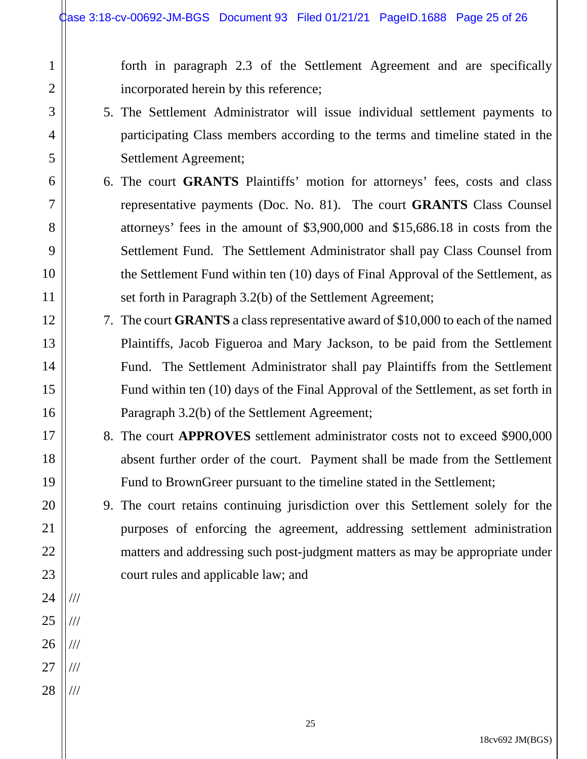forth in paragraph 2.3 of the Settlement Agreement and are specifically incorporated herein by this reference;

- 5. The Settlement Administrator will issue individual settlement payments to participating Class members according to the terms and timeline stated in the Settlement Agreement;
- 6. The court **GRANTS** Plaintiffs' motion for attorneys' fees, costs and class representative payments (Doc. No. 81). The court **GRANTS** Class Counsel attorneys' fees in the amount of \$3,900,000 and \$15,686.18 in costs from the Settlement Fund. The Settlement Administrator shall pay Class Counsel from the Settlement Fund within ten (10) days of Final Approval of the Settlement, as set forth in Paragraph 3.2(b) of the Settlement Agreement;
- 7. The court **GRANTS** a class representative award of \$10,000 to each of the named Plaintiffs, Jacob Figueroa and Mary Jackson, to be paid from the Settlement Fund. The Settlement Administrator shall pay Plaintiffs from the Settlement Fund within ten (10) days of the Final Approval of the Settlement, as set forth in Paragraph 3.2(b) of the Settlement Agreement;
- 8. The court **APPROVES** settlement administrator costs not to exceed \$900,000 absent further order of the court. Payment shall be made from the Settlement Fund to BrownGreer pursuant to the timeline stated in the Settlement;

9. The court retains continuing jurisdiction over this Settlement solely for the purposes of enforcing the agreement, addressing settlement administration matters and addressing such post-judgment matters as may be appropriate under court rules and applicable law; and

///

///

///

///

///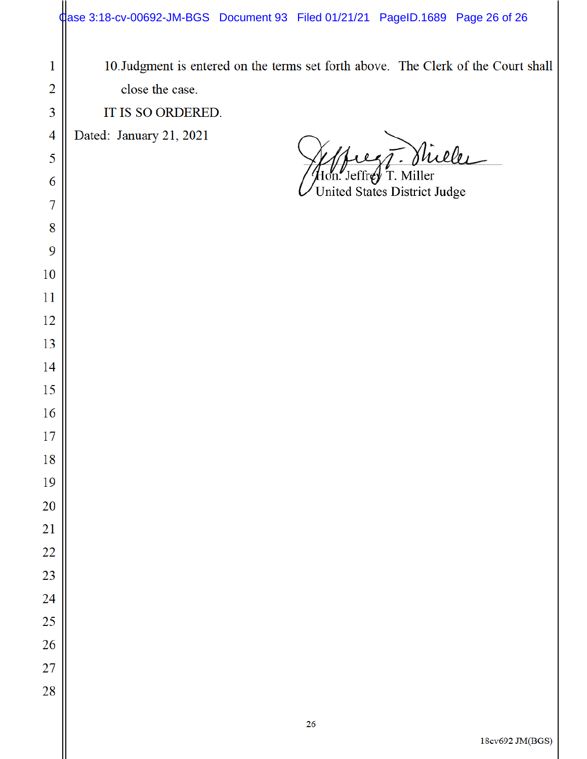| 1               | 10. Judgment is entered on the terms set forth above. The Clerk of the Court shall |
|-----------------|------------------------------------------------------------------------------------|
| $\overline{2}$  | close the case.                                                                    |
| 3               | IT IS SO ORDERED.                                                                  |
| 4               | Dated: January 21, 2021                                                            |
| 5               | Stille                                                                             |
| 6               | Hon. Jeffrey T. Miller<br>United States District Judge                             |
| 7               |                                                                                    |
| 8               |                                                                                    |
| 9               |                                                                                    |
| 10              |                                                                                    |
| 11              |                                                                                    |
| 12              |                                                                                    |
| 13              |                                                                                    |
| 14              |                                                                                    |
| 15              |                                                                                    |
| 16              |                                                                                    |
| 17              |                                                                                    |
| 18              |                                                                                    |
| 19              |                                                                                    |
| 20              |                                                                                    |
| $\overline{21}$ |                                                                                    |
| 22              |                                                                                    |
| 23              |                                                                                    |
| 24              |                                                                                    |
| 25              |                                                                                    |
| 26              |                                                                                    |
| 27<br>28        |                                                                                    |
|                 |                                                                                    |
|                 | 26                                                                                 |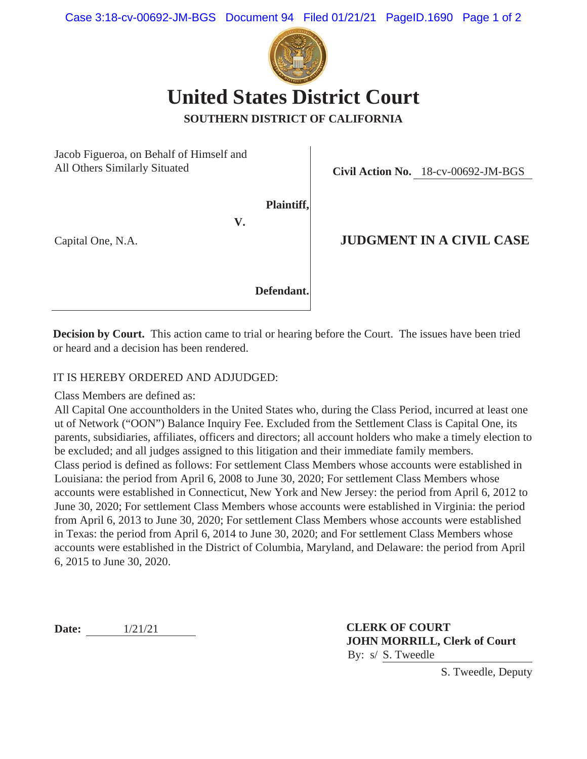

**SOUTHERN DISTRICT OF CALIFORNIA**

Jacob Figueroa, on Behalf of Himself and All Others Similarly Situated

**Civil Action No.** 18-cv-00692-JM-BGS

**Plaintiff,**

**V.**

Capital One, N.A.

#### **JUDGMENT IN A CIVIL CASE**

**Defendant.**

**Decision by Court.** This action came to trial or hearing before the Court. The issues have been tried or heard and a decision has been rendered.

#### IT IS HEREBY ORDERED AND ADJUDGED:

Class Members are defined as:

All Capital One accountholders in the United States who, during the Class Period, incurred at least one ut of Network ("OON") Balance Inquiry Fee. Excluded from the Settlement Class is Capital One, its parents, subsidiaries, affiliates, officers and directors; all account holders who make a timely election to be excluded; and all judges assigned to this litigation and their immediate family members. Class period is defined as follows: For settlement Class Members whose accounts were established in Louisiana: the period from April 6, 2008 to June 30, 2020; For settlement Class Members whose accounts were established in Connecticut, New York and New Jersey: the period from April 6, 2012 to June 30, 2020; For settlement Class Members whose accounts were established in Virginia: the period from April 6, 2013 to June 30, 2020; For settlement Class Members whose accounts were established in Texas: the period from April 6, 2014 to June 30, 2020; and For settlement Class Members whose accounts were established in the District of Columbia, Maryland, and Delaware: the period from April 6, 2015 to June 30, 2020.

**Date:** 1/21/21

**CLERK OF COURT JOHN MORRILL, Clerk of Court** By: s/ S. Tweedle

S. Tweedle, Deputy